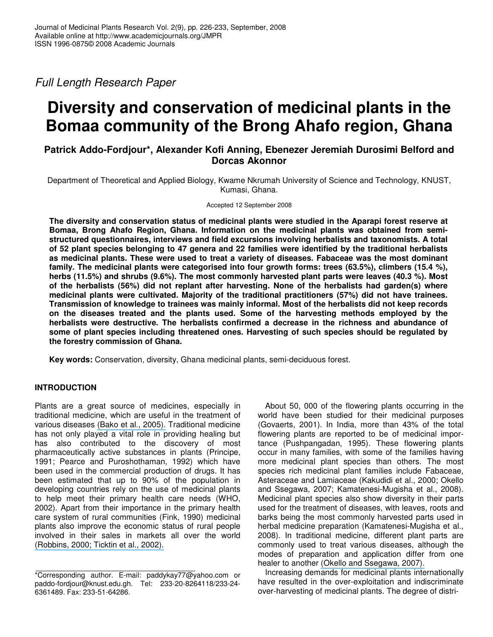*Full Length Research Paper*

# **Diversity and conservation of medicinal plants in the Bomaa community of the Brong Ahafo region, Ghana**

## **Patrick Addo-Fordjour\*, Alexander Kofi Anning, Ebenezer Jeremiah Durosimi Belford and Dorcas Akonnor**

Department of Theoretical and Applied Biology, Kwame Nkrumah University of Science and Technology, KNUST, Kumasi, Ghana.

Accepted 12 September 2008

**The diversity and conservation status of medicinal plants were studied in the Aparapi forest reserve at Bomaa, Brong Ahafo Region, Ghana. Information on the medicinal plants was obtained from semistructured questionnaires, interviews and field excursions involving herbalists and taxonomists. A total of 52 plant species belonging to 47 genera and 22 families were identified by the traditional herbalists as medicinal plants. These were used to treat a variety of diseases. Fabaceae was the most dominant family. The medicinal plants were categorised into four growth forms: trees (63.5%), climbers (15.4 %), herbs (11.5%) and shrubs (9.6%). The most commonly harvested plant parts were leaves (40.3 %). Most of the herbalists (56%) did not replant after harvesting. None of the herbalists had garden(s) where medicinal plants were cultivated. Majority of the traditional practitioners (57%) did not have trainees. Transmission of knowledge to trainees was mainly informal. Most of the herbalists did not keep records on the diseases treated and the plants used. Some of the harvesting methods employed by the herbalists were destructive. The herbalists confirmed a decrease in the richness and abundance of some of plant species including threatened ones. Harvesting of such species should be regulated by the forestry commission of Ghana.**

**Key words:** Conservation, diversity, Ghana medicinal plants, semi-deciduous forest.

## **INTRODUCTION**

Plants are a great source of medicines, especially in traditional medicine, which are useful in the treatment of various diseases (Bako et al., [2005\).](https://www.researchgate.net/publication/26442611_Ethnomedicinal_and_Phytochemical_Profile_of_Some_Savanna_Plant_Species_in_Nigeria?el=1_x_8&enrichId=rgreq-f11f4c2d-622e-40ed-9a01-6f338fd0f9dc&enrichSource=Y292ZXJQYWdlOzIxNTUzNzY1MjtBUzoxMDQ1NTE0NzQ1MzIzNTVAMTQwMTkzODQyMjE2OQ==) Traditional medicine has not only played a vital role in providing healing but has also contributed to the discovery of most pharmaceutically active substances in plants (Principe, 1991; Pearce and Puroshothaman, 1992) which have been used in the commercial production of drugs. It has been estimated that up to 90% of the population in developing countries rely on the use of medicinal plants to help meet their primary health care needs (WHO, 2002). Apart from their importance in the primary health care system of rural communities (Fink, 1990) medicinal plants also improve the economic status of rural people involved in their sales in markets all over the world [\(Robbins,](https://www.researchgate.net/publication/227798376_Comparative_Analysis_of_Management_Regimes_and_Medicinal_Plant_Trade_Monitoring_Mechanisms_for_American_Ginseng_and_Goldenseal?el=1_x_8&enrichId=rgreq-f11f4c2d-622e-40ed-9a01-6f338fd0f9dc&enrichSource=Y292ZXJQYWdlOzIxNTUzNzY1MjtBUzoxMDQ1NTE0NzQ1MzIzNTVAMTQwMTkzODQyMjE2OQ==) 2000; Ticktin et al., 2002).

About 50, 000 of the flowering plants occurring in the world have been studied for their medicinal purposes (Govaerts, 2001). In India, more than 43% of the total flowering plants are reported to be of medicinal importance (Pushpangadan, 1995). These flowering plants occur in many families, with some of the families having more medicinal plant species than others. The most species rich medicinal plant families include Fabaceae, Asteraceae and Lamiaceae (Kakudidi et al., 2000; Okello and Ssegawa, 2007; Kamatenesi-Mugisha et al., 2008). Medicinal plant species also show diversity in their parts used for the treatment of diseases, with leaves, roots and barks being the most commonly harvested parts used in herbal medicine preparation (Kamatenesi-Mugisha et al., 2008). In traditional medicine, different plant parts are commonly used to treat various diseases, although the modes of preparation and application differ from one healer to another (Okello and [Ssegawa,](https://www.researchgate.net/publication/227734520_Medicinal_plants_used_by_communities_of_Ngai_Subcounty_Apac_District_northern_Ugand?el=1_x_8&enrichId=rgreq-f11f4c2d-622e-40ed-9a01-6f338fd0f9dc&enrichSource=Y292ZXJQYWdlOzIxNTUzNzY1MjtBUzoxMDQ1NTE0NzQ1MzIzNTVAMTQwMTkzODQyMjE2OQ==) 2007).

Increasing demands for medicinal plants internationally have resulted in the over-exploitation and indiscriminate over-harvesting of medicinal plants. The degree of distri-

<sup>\*</sup>Corresponding author. E-mail: paddykay77@yahoo.com or paddo-fordjour@knust.edu.gh. Tel: 233-20-8264118/233-24- 6361489. Fax: 233-51-64286.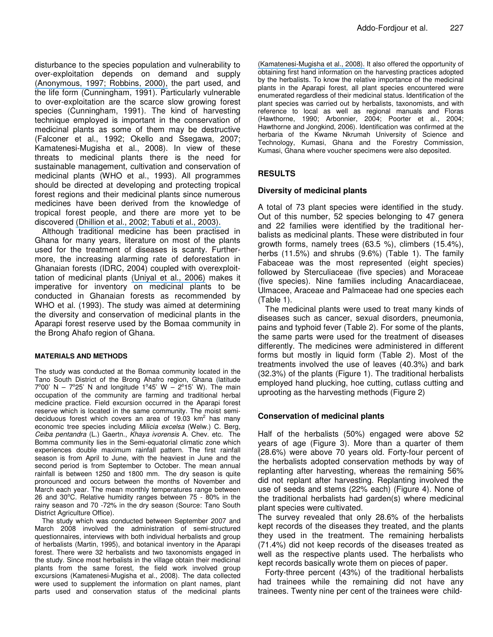disturbance to the species population and vulnerability to over-exploitation depends on demand and supply [\(Anonymous,](https://www.researchgate.net/publication/227798376_Comparative_Analysis_of_Management_Regimes_and_Medicinal_Plant_Trade_Monitoring_Mechanisms_for_American_Ginseng_and_Goldenseal?el=1_x_8&enrichId=rgreq-f11f4c2d-622e-40ed-9a01-6f338fd0f9dc&enrichSource=Y292ZXJQYWdlOzIxNTUzNzY1MjtBUzoxMDQ1NTE0NzQ1MzIzNTVAMTQwMTkzODQyMjE2OQ==) 1997; Robbins, 2000), the part used, and the life form (Cunningham, 1991). Particularly vulnerable to over-exploitation are the scarce slow growing forest species (Cunningham, 1991). The kind of harvesting technique employed is important in the conservation of medicinal plants as some of them may be destructive (Falconer et al., 1992; Okello and Ssegawa, 2007; Kamatenesi-Mugisha et al., 2008). In view of these threats to medicinal plants there is the need for sustainable management, cultivation and conservation of medicinal plants (WHO et al., 1993). All programmes should be directed at developing and protecting tropical forest regions and their medicinal plants since numerous medicines have been derived from the knowledge of tropical forest people, and there are more yet to be discovered [\(Dhillion](https://www.researchgate.net/publication/200015635_Traditional_medicine_in_Bulamogi_County_Uganda_its_practitioners_users_and_Viability?el=1_x_8&enrichId=rgreq-f11f4c2d-622e-40ed-9a01-6f338fd0f9dc&enrichSource=Y292ZXJQYWdlOzIxNTUzNzY1MjtBUzoxMDQ1NTE0NzQ1MzIzNTVAMTQwMTkzODQyMjE2OQ==) et al., 2002; Tabuti et al., 2003).

Although traditional medicine has been practised in Ghana for many years, literature on most of the plants used for the treatment of diseases is scanty. Furthermore, the increasing alarming rate of deforestation in Ghanaian forests (IDRC, 2004) coupled with overexploittation of medicinal plants [\(Uniyal](https://www.researchgate.net/publication/7234051_Lal_Brij_Traditional_use_of_medicinal_plants_among_the_tribal_communities_of_Chhota_Bhangal_Western_Himalaya?el=1_x_8&enrichId=rgreq-f11f4c2d-622e-40ed-9a01-6f338fd0f9dc&enrichSource=Y292ZXJQYWdlOzIxNTUzNzY1MjtBUzoxMDQ1NTE0NzQ1MzIzNTVAMTQwMTkzODQyMjE2OQ==) et al., 2006) makes it imperative for inventory on medicinal plants to be conducted in Ghanaian forests as recommended by WHO et al. (1993). The study was aimed at determining the diversity and conservation of medicinal plants in the Aparapi forest reserve used by the Bomaa community in the Brong Ahafo region of Ghana.

#### **MATERIALS AND METHODS**

The study was conducted at the Bomaa community located in the Tano South District of the Brong Ahafro region, Ghana (latitude  $7^{\circ}00'$  N –  $7^{\circ}25'$  N and longitude 1°45' W –  $2^{\circ}15'$  W). The main occupation of the community are farming and traditional herbal medicine practice. Field excursion occurred in the Aparapi forest reserve which is located in the same community. The moist semideciduous forest which covers an area of 19.03 km<sup>2</sup> has many economic tree species including *Milicia excelsa* (Welw.) C. Berg, *Ceiba pentandra* (L.) Gaertn., *Khaya ivorensis* A. Chev. etc. The Bomma community lies in the Semi-equatorial climatic zone which experiences double maximum rainfall pattern. The first rainfall season is from April to June, with the heaviest in June and the second period is from September to October. The mean annual rainfall is between 1250 and 1800 mm. The dry season is quite pronounced and occurs between the months of November and March each year. The mean monthly temperatures range between 26 and 30°C. Relative humidity ranges between 75 - 80% in the rainy season and 70 -72% in the dry season (Source: Tano South District Agriculture Office).

The study which was conducted between September 2007 and March 2008 involved the administration of semi-structured questionnaires, interviews with both individual herbalists and group of herbalists (Martin, 1995), and botanical inventory in the Aparapi forest. There were 32 herbalists and two taxonomists engaged in the study. Since most herbalists in the village obtain their medicinal plants from the same forest, the field work involved group excursions (Kamatenesi-Mugisha et al., 2008). The data collected were used to supplement the information on plant names, plant parts used and conservation status of the medicinal plants

[\(Kamatenesi-Mugisha](https://www.researchgate.net/publication/229771592_Medicinal_plants_used_in_the_treatment_of_fungal_and_bacterial_infections_in_and_around_Queen_Elizabeth_Biosphere_Reserve_western_Uganda?el=1_x_8&enrichId=rgreq-f11f4c2d-622e-40ed-9a01-6f338fd0f9dc&enrichSource=Y292ZXJQYWdlOzIxNTUzNzY1MjtBUzoxMDQ1NTE0NzQ1MzIzNTVAMTQwMTkzODQyMjE2OQ==) et al., 2008). It also offered the opportunity of obtaining first hand information on the harvesting practices adopted by the herbalists. To know the relative importance of the medicinal plants in the Aparapi forest, all plant species encountered were enumerated regardless of their medicinal status. Identification of the plant species was carried out by herbalists, taxonomists, and with reference to local as well as regional manuals and Floras (Hawthorne, 1990; Arbonnier, 2004; Poorter et al., 2004; Hawthorne and Jongkind, 2006). Identification was confirmed at the herbaria of the Kwame Nkrumah University of Science and Technology, Kumasi, Ghana and the Forestry Commission, Kumasi, Ghana where voucher specimens were also deposited.

## **RESULTS**

#### **Diversity of medicinal plants**

A total of 73 plant species were identified in the study. Out of this number, 52 species belonging to 47 genera and 22 families were identified by the traditional herbalists as medicinal plants. These were distributed in four growth forms, namely trees (63.5 %), climbers (15.4%), herbs (11.5%) and shrubs (9.6%) (Table 1). The family Fabaceae was the most represented (eight species) followed by Sterculiaceae (five species) and Moraceae (five species). Nine families including Anacardiaceae, Ulmacee, Araceae and Palmaceae had one species each (Table 1).

The medicinal plants were used to treat many kinds of diseases such as cancer, sexual disorders, pneumonia, pains and typhoid fever (Table 2). For some of the plants, the same parts were used for the treatment of diseases differently. The medicines were administered in different forms but mostly in liquid form (Table 2). Most of the treatments involved the use of leaves (40.3%) and bark (32.3%) of the plants (Figure 1). The traditional herbalists employed hand plucking, hoe cutting, cutlass cutting and uprooting as the harvesting methods (Figure 2)

## **Conservation of medicinal plants**

Half of the herbalists (50%) engaged were above 52 years of age (Figure 3). More than a quarter of them (28.6%) were above 70 years old. Forty-four percent of the herbalists adopted conservation methods by way of replanting after harvesting, whereas the remaining 56% did not replant after harvesting. Replanting involved the use of seeds and stems (22% each) (Figure 4). None of the traditional herbalists had garden(s) where medicinal plant species were cultivated.

The survey revealed that only 28.6% of the herbalists kept records of the diseases they treated, and the plants they used in the treatment. The remaining herbalists (71.4%) did not keep records of the diseases treated as well as the respective plants used. The herbalists who kept records basically wrote them on pieces of paper.

Forty-three percent (43%) of the traditional herbalists had trainees while the remaining did not have any trainees. Twenty nine per cent of the trainees were child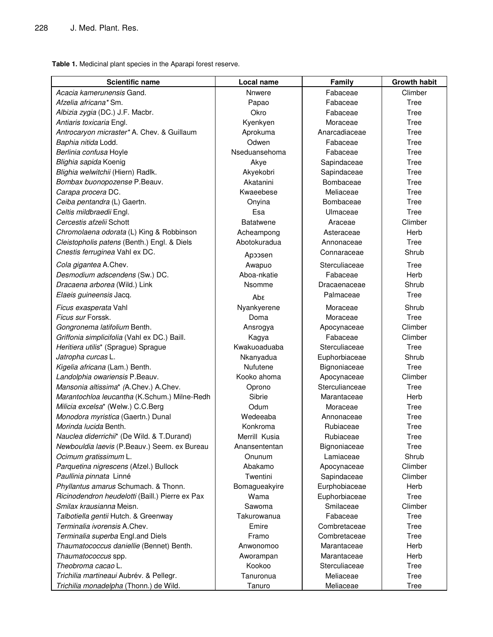**Table 1.** Medicinal plant species in the Aparapi forest reserve.

| <b>Scientific name</b>                          | Local name       | Family         | <b>Growth habit</b> |
|-------------------------------------------------|------------------|----------------|---------------------|
| Acacia kamerunensis Gand.                       | <b>Nnwere</b>    | Fabaceae       | Climber             |
| Afzelia africana* Sm.                           | Papao            | Fabaceae       | Tree                |
| Albizia zygia (DC.) J.F. Macbr.                 | Okro             | Fabaceae       | Tree                |
| Antiaris toxicaria Engl.                        | Kyenkyen         | Moraceae       | Tree                |
| Antrocaryon micraster* A. Chev. & Guillaum      | Aprokuma         | Anarcadiaceae  | Tree                |
| Baphia nitida Lodd.                             | Odwen            | Fabaceae       | Tree                |
| Berlinia confusa Hoyle                          | Nseduansehoma    | Fabaceae       | Tree                |
| Blighia sapida Koenig                           | Akye             | Sapindaceae    | Tree                |
| Blighia welwitchii (Hiern) Radlk.               | Akyekobri        | Sapindaceae    | Tree                |
| Bombax buonopozense P.Beauv.                    | Akatanini        | Bombaceae      | Tree                |
| Carapa procera DC.                              | Kwaeebese        | Meliaceae      | Tree                |
| Ceiba pentandra (L) Gaertn.                     | Onyina           | Bombaceae      | Tree                |
| Celtis mildbraedii Engl.                        | Esa              | Ulmaceae       | Tree                |
| Cercestis afzelii Schott                        | <b>Batatwene</b> | Araceae        | Climber             |
| Chromolaena odorata (L) King & Robbinson        | Acheampong       | Asteraceae     | Herb                |
| Cleistopholis patens (Benth.) Engl. & Diels     | Abotokuradua     | Annonaceae     | Tree                |
| Cnestis ferruginea Vahl ex DC.                  |                  | Connaraceae    | Shrub               |
|                                                 | Apposen          |                |                     |
| Cola gigantea A.Chev.                           | Awapuo           | Sterculiaceae  | Tree                |
| Desmodium adscendens (Sw.) DC.                  | Aboa-nkatie      | Fabaceae       | Herb                |
| Dracaena arborea (Wild.) Link                   | Nsomme           | Dracaenaceae   | Shrub               |
| Elaeis guineensis Jacq.                         | Aba              | Palmaceae      | <b>Tree</b>         |
| Ficus exasperata Vahl                           | Nyankyerene      | Moraceae       | Shrub               |
| Ficus sur Forssk.                               | Doma             | Moraceae       | Tree                |
| Gongronema latifolium Benth.                    | Ansrogya         | Apocynaceae    | Climber             |
| Griffonia simplicifolia (Vahl ex DC.) Baill.    | Kagya            | Fabaceae       | Climber             |
| Heritiera utilis* (Sprague) Sprague             | Kwakuoaduaba     | Sterculiaceae  | Tree                |
| Jatropha curcas L.                              | Nkanyadua        | Euphorbiaceae  | Shrub               |
| Kigelia africana (Lam.) Benth.                  | Nufutene         | Bignoniaceae   | Tree                |
| Landolphia owariensis P.Beauv.                  | Kooko ahoma      | Apocynaceae    | Climber             |
| Mansonia altissima* (A.Chev.) A.Chev.           | Oprono           | Sterculianceae | Tree                |
| Marantochloa leucantha (K.Schum.) Milne-Redh    | Sibrie           | Marantaceae    | Herb                |
| Milicia excelsa* (Welw.) C.C.Berg               | Odum             | Moraceae       | Tree                |
| Monodora myristica (Gaertn.) Dunal              | Wedeeaba         | Annonaceae     | Tree                |
| Morinda lucida Benth.                           | Konkroma         | Rubiaceae      | Tree                |
| Nauclea diderrichii* (De Wild. & T.Durand)      | Merrill Kusia    | Rubiaceae      | Tree                |
| Newbouldia laevis (P.Beauv.) Seem. ex Bureau    | Anansententan    | Bignoniaceae   | Tree                |
| Ocimum gratissimum L.                           | Onunum           | Lamiaceae      | Shrub               |
| Parquetina nigrescens (Afzel.) Bullock          | Abakamo          | Apocynaceae    | Climber             |
| Paullinia pinnata Linné                         | Twentini         | Sapindaceae    | Climber             |
| Phyllantus amarus Schumach. & Thonn.            | Bomagueakyire    | Eurphobiaceae  | Herb                |
| Ricinodendron heudelotti (Baill.) Pierre ex Pax | Wama             | Euphorbiaceae  | Tree                |
| Smilax krausianna Meisn.                        | Sawoma           | Smilaceae      | Climber             |
| Talbotiella gentii Hutch. & Greenway            | Takurowanua      | Fabaceae       | Tree                |
| Terminalia ivorensis A.Chev.                    | Emire            | Combretaceae   | Tree                |
| Terminalia superba Engl.and Diels               | Framo            | Combretaceae   | Tree                |
| Thaumatococcus daniellie (Bennet) Benth.        | Anwonomoo        | Marantaceae    | Herb                |
| Thaumatococcus spp.                             | Aworampan        | Marantaceae    | Herb                |
| Theobroma cacao L.                              | Kookoo           | Sterculiaceae  | Tree                |
| Trichilia martineaui Aubrév. & Pellegr.         | Tanuronua        | Meliaceae      | Tree                |
| Trichilia monadelpha (Thonn.) de Wild.          | Tanuro           | Meliaceae      | Tree                |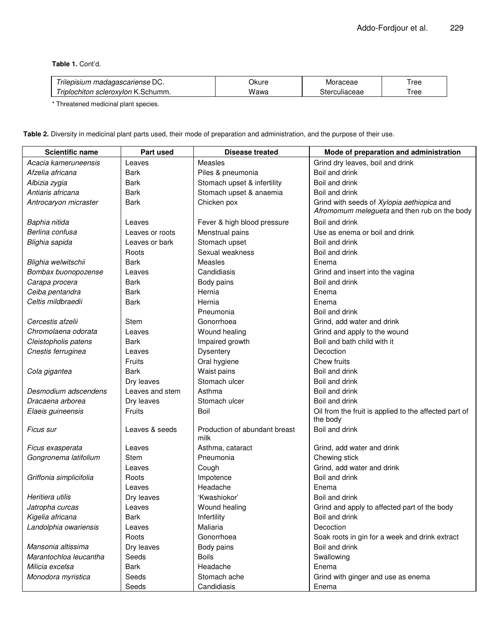**Table 1.** Cont'd.

| r~<br>, madagascariense DC.<br>rilepisium   | วkure | oraceae<br>IVI | 'ree             |
|---------------------------------------------|-------|----------------|------------------|
| -scleroxvlon K<br>Schumm.<br>i rınlochiton. | wawa  | uliaceae       | ree <sup>r</sup> |

\* Threatened medicinal plant species.

**Table 2.** Diversity in medicinal plant parts used, their mode of preparation and administration, and the purpose of their use.

| <b>Scientific name</b>  | Part used       | <b>Disease treated</b>                | Mode of preparation and administration                                                     |
|-------------------------|-----------------|---------------------------------------|--------------------------------------------------------------------------------------------|
| Acacia kameruneensis    | Leaves          | Measles                               | Grind dry leaves, boil and drink                                                           |
| Afzelia africana        | Bark            | Piles & pneumonia                     | Boil and drink                                                                             |
| Albizia zygia           | Bark            | Stomach upset & infertility           | Boil and drink                                                                             |
| Antiaris africana       | <b>Bark</b>     | Stomach upset & anaemia               | Boil and drink                                                                             |
| Antrocaryon micraster   | <b>Bark</b>     | Chicken pox                           | Grind with seeds of Xylopia aethiopica and<br>Afromomum melegueta and then rub on the body |
| Baphia nitida           | Leaves          | Fever & high blood pressure           | Boil and drink                                                                             |
| Berlina confusa         | Leaves or roots | Menstrual pains                       | Use as enema or boil and drink                                                             |
| Blighia sapida          | Leaves or bark  | Stomach upset                         | Boil and drink                                                                             |
|                         | Roots           | Sexual weakness                       | Boil and drink                                                                             |
| Blighia welwitschii     | <b>Bark</b>     | Measles                               | Enema                                                                                      |
| Bombax buonopozense     | Leaves          | Candidiasis                           | Grind and insert into the vagina                                                           |
| Carapa procera          | <b>Bark</b>     | Body pains                            | Boil and drink                                                                             |
| Ceiba pentandra         | <b>Bark</b>     | Hernia                                | Enema                                                                                      |
| Celtis mildbraedii      | <b>Bark</b>     | Hernia                                | Enema                                                                                      |
|                         |                 | Pneumonia                             | Boil and drink                                                                             |
| Cercestis afzelii       | Stem            | Gonorrhoea                            | Grind, add water and drink                                                                 |
| Chromolaena odorata     | Leaves          | Wound healing                         | Grind and apply to the wound                                                               |
| Cleistopholis patens    | Bark            | Impaired growth                       | Boil and bath child with it                                                                |
| Cnestis ferruginea      | Leaves          | Dysentery                             | Decoction                                                                                  |
|                         | Fruits          | Oral hygiene                          | Chew fruits                                                                                |
| Cola gigantea           | Bark            | Waist pains                           | Boil and drink                                                                             |
|                         | Dry leaves      | Stomach ulcer                         | Boil and drink                                                                             |
| Desmodium adscendens    | Leaves and stem | Asthma                                | Boil and drink                                                                             |
| Dracaena arborea        | Dry leaves      | Stomach ulcer                         | Boil and drink                                                                             |
| Elaeis guineensis       | Fruits          | Boil                                  | Oil from the fruit is applied to the affected part of<br>the body                          |
| <i>Ficus sur</i>        | Leaves & seeds  | Production of abundant breast<br>milk | Boil and drink                                                                             |
| Ficus exasperata        | Leaves          | Asthma, cataract                      | Grind, add water and drink                                                                 |
| Gongronema latifolium   | Stem            | Pneumonia                             | Chewing stick                                                                              |
|                         | Leaves          | Cough                                 | Grind, add water and drink                                                                 |
| Griffonia simplicifolia | Roots           | Impotence                             | Boil and drink                                                                             |
|                         | Leaves          | Headache                              | Enema                                                                                      |
| Heritiera utilis        | Dry leaves      | 'Kwashiokor'                          | Boil and drink                                                                             |
| Jatropha curcas         | Leaves          | Wound healing                         | Grind and apply to affected part of the body                                               |
| Kigelia africana        | Bark            | Infertility                           | Boil and drink                                                                             |
| Landolphia owariensis   | Leaves          | Maliaria                              | Decoction                                                                                  |
|                         | Roots           | Gonorrhoea                            | Soak roots in gin for a week and drink extract                                             |
| Mansonia altissima      | Dry leaves      | Body pains                            | Boil and drink                                                                             |
| Marantochloa leucantha  | Seeds           | <b>Boils</b>                          | Swallowing                                                                                 |
| Milicia excelsa         | <b>Bark</b>     | Headache                              | Enema                                                                                      |
| Monodora myristica      | Seeds           | Stomach ache                          | Grind with ginger and use as enema                                                         |
|                         | Seeds           | Candidiasis                           | Enema                                                                                      |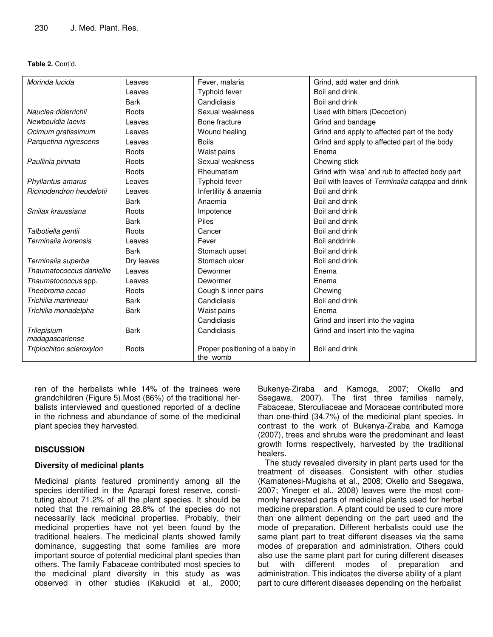#### **Table 2.** Cont'd.

| Morinda lucida           | Leaves      | Fever, malaria                              | Grind, add water and drink                       |
|--------------------------|-------------|---------------------------------------------|--------------------------------------------------|
|                          | Leaves      | Typhoid fever                               | Boil and drink                                   |
|                          | <b>Bark</b> | Candidiasis                                 | Boil and drink                                   |
| Nauclea diderrichii      | Roots       | Sexual weakness                             | Used with bitters (Decoction)                    |
| Newbouldia laevis        | Leaves      | Bone fracture                               | Grind and bandage                                |
| Ocimum gratissimum       | Leaves      | Wound healing                               | Grind and apply to affected part of the body     |
| Parquetina nigrescens    | Leaves      | <b>Boils</b>                                | Grind and apply to affected part of the body     |
|                          | Roots       | Waist pains                                 | Enema                                            |
| Paullinia pinnata        | Roots       | Sexual weakness                             | Chewing stick                                    |
|                          | Roots       | Rheumatism                                  | Grind with 'wisa' and rub to affected body part  |
| Phyllantus amarus        | Leaves      | Typhoid fever                               | Boil with leaves of Terminalia catappa and drink |
| Ricinodendron heudelotii | Leaves      | Infertility & anaemia                       | Boil and drink                                   |
|                          | <b>Bark</b> | Anaemia                                     | Boil and drink                                   |
| Smilax kraussiana        | Roots       | Impotence                                   | Boil and drink                                   |
|                          | <b>Bark</b> | Piles                                       | Boil and drink                                   |
| Talbotiella gentii       | Roots       | Cancer                                      | Boil and drink                                   |
| Terminalia ivorensis     | Leaves      | Fever                                       | Boil anddrink                                    |
|                          | <b>Bark</b> | Stomach upset                               | Boil and drink                                   |
| Terminalia superba       | Dry leaves  | Stomach ulcer                               | Boil and drink                                   |
| Thaumatococcus daniellie | Leaves      | Dewormer                                    | Enema                                            |
| Thaumatococcus spp.      | Leaves      | Dewormer                                    | Enema                                            |
| Theobroma cacao          | Roots       | Cough & inner pains                         | Chewing                                          |
| Trichilia martineaui     | <b>Bark</b> | Candidiasis                                 | Boil and drink                                   |
| Trichilia monadelpha     | <b>Bark</b> | Waist pains                                 | Enema                                            |
|                          |             | Candidiasis                                 | Grind and insert into the vagina                 |
| Trilepisium              | <b>Bark</b> | Candidiasis                                 | Grind and insert into the vagina                 |
| madagascariense          |             |                                             |                                                  |
| Triplochiton scleroxylon | Roots       | Proper positioning of a baby in<br>the womb | Boil and drink                                   |
|                          |             |                                             |                                                  |

ren of the herbalists while 14% of the trainees were grandchildren (Figure 5).Most (86%) of the traditional herbalists interviewed and questioned reported of a decline in the richness and abundance of some of the medicinal plant species they harvested.

## **DISCUSSION**

#### **Diversity of medicinal plants**

Medicinal plants featured prominently among all the species identified in the Aparapi forest reserve, constituting about 71.2% of all the plant species. It should be noted that the remaining 28.8% of the species do not necessarily lack medicinal properties. Probably, their medicinal properties have not yet been found by the traditional healers. The medicinal plants showed family dominance, suggesting that some families are more important source of potential medicinal plant species than others. The family Fabaceae contributed most species to the medicinal plant diversity in this study as was observed in other studies (Kakudidi et al., 2000;

Bukenya-Ziraba and Kamoga, 2007; Okello and Ssegawa, 2007). The first three families namely, Fabaceae, Sterculiaceae and Moraceae contributed more than one-third (34.7%) of the medicinal plant species. In contrast to the work of Bukenya-Ziraba and Kamoga (2007), trees and shrubs were the predominant and least growth forms respectively, harvested by the traditional healers.

The study revealed diversity in plant parts used for the treatment of diseases. Consistent with other studies (Kamatenesi-Mugisha et al., 2008; Okello and Ssegawa, 2007; Yineger et al., 2008) leaves were the most commonly harvested parts of medicinal plants used for herbal medicine preparation. A plant could be used to cure more than one ailment depending on the part used and the mode of preparation. Different herbalists could use the same plant part to treat different diseases via the same modes of preparation and administration. Others could also use the same plant part for curing different diseases but with different modes of preparation and administration. This indicates the diverse ability of a plant part to cure different diseases depending on the herbalist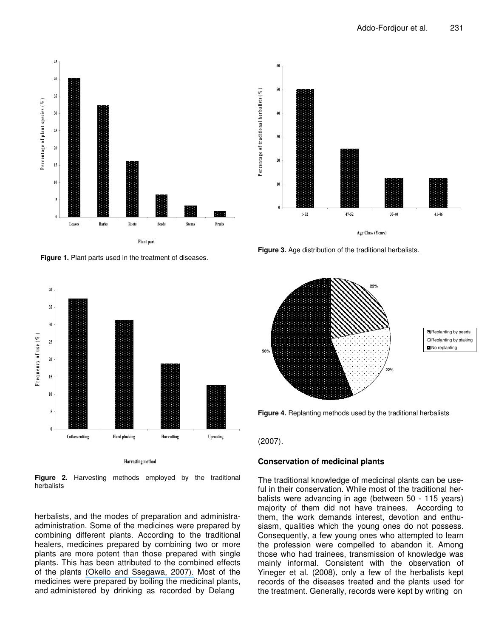

**Figure 1.** Plant parts used in the treatment of diseases.



**Figure 2.** Harvesting methods employed by the traditional herbalists

herbalists, and the modes of preparation and administraadministration. Some of the medicines were prepared by combining different plants. According to the traditional healers, medicines prepared by combining two or more plants are more potent than those prepared with single plants. This has been attributed to the combined effects of the plants (Okello and [Ssegawa,](https://www.researchgate.net/publication/227734520_Medicinal_plants_used_by_communities_of_Ngai_Subcounty_Apac_District_northern_Ugand?el=1_x_8&enrichId=rgreq-f11f4c2d-622e-40ed-9a01-6f338fd0f9dc&enrichSource=Y292ZXJQYWdlOzIxNTUzNzY1MjtBUzoxMDQ1NTE0NzQ1MzIzNTVAMTQwMTkzODQyMjE2OQ==) 2007). Most of the medicines were prepared by boiling the medicinal plants, and administered by drinking as recorded by Delang



**Figure 3.** Age distribution of the traditional herbalists.



**Replanting by seeds** Replanting by staking No replanting

**Figure 4.** Replanting methods used by the traditional herbalists

#### (2007).

#### **Conservation of medicinal plants**

The traditional knowledge of medicinal plants can be useful in their conservation. While most of the traditional herbalists were advancing in age (between 50 - 115 years) majority of them did not have trainees. According to them, the work demands interest, devotion and enthusiasm, qualities which the young ones do not possess. Consequently, a few young ones who attempted to learn the profession were compelled to abandon it. Among those who had trainees, transmission of knowledge was mainly informal. Consistent with the observation of Yineger et al. (2008), only a few of the herbalists kept records of the diseases treated and the plants used for the treatment. Generally, records were kept by writing on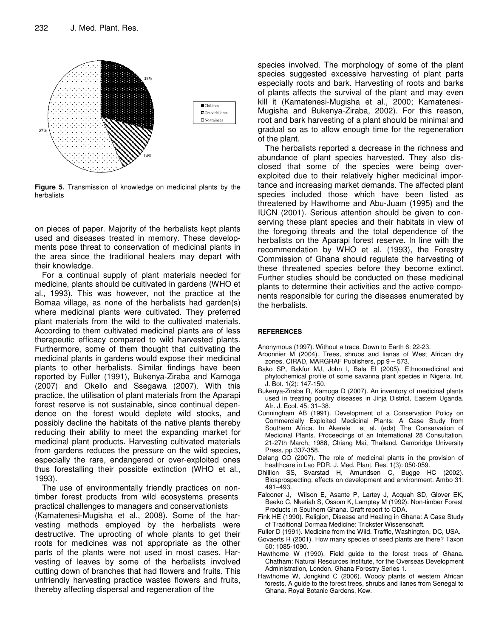

**Figure 5.** Transmission of knowledge on medicinal plants by the herbalists

on pieces of paper. Majority of the herbalists kept plants used and diseases treated in memory. These developments pose threat to conservation of medicinal plants in the area since the traditional healers may depart with their knowledge.

For a continual supply of plant materials needed for medicine, plants should be cultivated in gardens (WHO et al., 1993). This was however, not the practice at the Bomaa village, as none of the herbalists had garden(s) where medicinal plants were cultivated. They preferred plant materials from the wild to the cultivated materials. According to them cultivated medicinal plants are of less therapeutic efficacy compared to wild harvested plants. Furthermore, some of them thought that cultivating the medicinal plants in gardens would expose their medicinal plants to other herbalists. Similar findings have been reported by Fuller (1991), Bukenya-Ziraba and Kamoga (2007) and Okello and Ssegawa (2007). With this practice, the utilisation of plant materials from the Aparapi forest reserve is not sustainable, since continual dependence on the forest would deplete wild stocks, and possibly decline the habitats of the native plants thereby reducing their ability to meet the expanding market for medicinal plant products. Harvesting cultivated materials from gardens reduces the pressure on the wild species, especially the rare, endangered or over-exploited ones thus forestalling their possible extinction (WHO et al., 1993).

The use of environmentally friendly practices on nontimber forest products from wild ecosystems presents practical challenges to managers and conservationists

(Kamatenesi-Mugisha et al., 2008). Some of the harvesting methods employed by the herbalists were destructive. The uprooting of whole plants to get their roots for medicines was not appropriate as the other parts of the plants were not used in most cases. Harvesting of leaves by some of the herbalists involved cutting down of branches that had flowers and fruits. This unfriendly harvesting practice wastes flowers and fruits, thereby affecting dispersal and regeneration of the

species involved. The morphology of some of the plant species suggested excessive harvesting of plant parts especially roots and bark. Harvesting of roots and barks of plants affects the survival of the plant and may even kill it (Kamatenesi-Mugisha et al., 2000; Kamatenesi-Mugisha and Bukenya-Ziraba, 2002). For this reason, root and bark harvesting of a plant should be minimal and gradual so as to allow enough time for the regeneration of the plant.

The herbalists reported a decrease in the richness and abundance of plant species harvested. They also disclosed that some of the species were being overexploited due to their relatively higher medicinal importance and increasing market demands. The affected plant species included those which have been listed as threatened by Hawthorne and Abu-Juam (1995) and the IUCN (2001). Serious attention should be given to conserving these plant species and their habitats in view of the foregoing threats and the total dependence of the herbalists on the Aparapi forest reserve. In line with the recommendation by WHO et al. (1993), the Forestry Commission of Ghana should regulate the harvesting of these threatened species before they become extinct. Further studies should be conducted on these medicinal plants to determine their activities and the active components responsible for curing the diseases enumerated by the herbalists.

#### **REFERENCES**

Anonymous (1997). Without a trace. Down to Earth 6: 22-23.

- Arbonnier M (2004). Trees, shrubs and lianas of West African dry zones. CIRAD, MARGRAF Publishers, pp 9 – 573.
- Bako SP, Bakfur MJ, John I, Bala EI (2005). Ethnomedicinal and phytochemical profile of some savanna plant species in Nigeria. Int. J. Bot. 1(2): 147-150.
- Bukenya-Ziraba R, Kamoga D (2007). An inventory of medicinal plants used in treating poultry diseases in Jinja District, Eastern Uganda. Afr. J. Ecol. 45: 31–38.
- Cunningham AB (1991). Development of a Conservation Policy on Commercially Exploited Medicinal Plants: A Case Study from Southern Africa. In Akerele et al. (eds) The Conservation of Medicinal Plants. Proceedings of an International 28 Consultation, 21-27th March, 1988, Chiang Mai, Thailand. Cambridge University Press, pp 337-358.
- Delang CO (2007). The role of medicinal plants in the provision of healthcare in Lao PDR. J. Med. Plant. Res. 1(3): 050-059.
- Dhillion SS, Svarstad H, Amundsen C, Bugge HC (2002). Biosprospecting: effects on development and environment. Ambo 31: 491–493.
- Falconer J, Wilson E, Asante P, Lartey J, Acquah SD, Glover EK, Beeko C, Nketiah S, Ossom K, Lamptey M (1992). Non-timber Forest Products in Southern Ghana. Draft report to ODA.
- Fink HE (1990). Religion, Disease and Healing in Ghana: A Case Study of Traditional Dormaa Medicine: Trickster Wissenschaft.
- Fuller D (1991). Medicine from the Wild. Traffic, Washington, DC, USA.
- Govaerts R (2001). How many species of seed plants are there? Taxon 50: 1085-1090.
- Hawthorne W (1990). Field guide to the forest trees of Ghana. Chatham: Natural Resources Institute, for the Overseas Development Administration, London. Ghana Forestry Series 1.
- Hawthorne W, Jongkind C (2006). Woody plants of western African forests. A guide to the forest trees, shrubs and lianes from Senegal to Ghana. Royal Botanic Gardens, Kew.